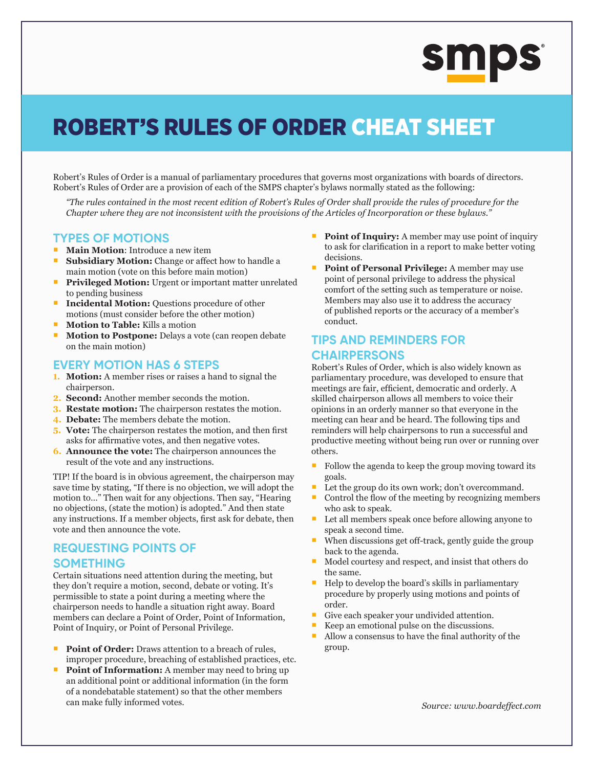# **SMPS**

## ROBERT'S RULES OF ORDER CHEAT SHEET

Robert's Rules of Order is a manual of parliamentary procedures that governs most organizations with boards of directors. Robert's Rules of Order are a provision of each of the SMPS chapter's bylaws normally stated as the following:

*"The rules contained in the most recent edition of Robert's Rules of Order shall provide the rules of procedure for the Chapter where they are not inconsistent with the provisions of the Articles of Incorporation or these bylaws."*

#### **TYPES OF MOTIONS**

- **Main Motion:** Introduce a new item
- **Subsidiary Motion:** Change or affect how to handle a main motion (vote on this before main motion)
- **Privileged Motion:** Urgent or important matter unrelated to pending business
- **Incidental Motion:** Questions procedure of other motions (must consider before the other motion)
- **Motion to Table:** Kills a motion
- **Motion to Postpone:** Delays a vote (can reopen debate on the main motion)

#### **EVERY MOTION HAS 6 STEPS**

- **1. Motion:** A member rises or raises a hand to signal the chairperson.
- **2. Second:** Another member seconds the motion.
- **3. Restate motion:** The chairperson restates the motion.
- **4. Debate:** The members debate the motion.
- **5. Vote:** The chairperson restates the motion, and then first asks for affirmative votes, and then negative votes.
- **6. Announce the vote:** The chairperson announces the result of the vote and any instructions.

TIP! If the board is in obvious agreement, the chairperson may save time by stating, "If there is no objection, we will adopt the motion to…" Then wait for any objections. Then say, "Hearing no objections, (state the motion) is adopted." And then state any instructions. If a member objects, first ask for debate, then vote and then announce the vote.

#### **REQUESTING POINTS OF SOMETHING**

Certain situations need attention during the meeting, but they don't require a motion, second, debate or voting. It's permissible to state a point during a meeting where the chairperson needs to handle a situation right away. Board members can declare a Point of Order, Point of Information, Point of Inquiry, or Point of Personal Privilege.

- Point of Order: Draws attention to a breach of rules, improper procedure, breaching of established practices, etc.
- **Point of Information:** A member may need to bring up an additional point or additional information (in the form of a nondebatable statement) so that the other members can make fully informed votes.
- **Point of Inquiry:** A member may use point of inquiry to ask for clarification in a report to make better voting decisions.
- **Point of Personal Privilege:** A member may use point of personal privilege to address the physical comfort of the setting such as temperature or noise. Members may also use it to address the accuracy of published reports or the accuracy of a member's conduct.

### **TIPS AND REMINDERS FOR CHAIRPERSONS**

Robert's Rules of Order, which is also widely known as parliamentary procedure, was developed to ensure that meetings are fair, efficient, democratic and orderly. A skilled chairperson allows all members to voice their opinions in an orderly manner so that everyone in the meeting can hear and be heard. The following tips and reminders will help chairpersons to run a successful and productive meeting without being run over or running over others.

- $\blacksquare$  Follow the agenda to keep the group moving toward its goals.
- Let the group do its own work; don't overcommand.
- Control the flow of the meeting by recognizing members who ask to speak.
- Let all members speak once before allowing anyone to speak a second time.
- When discussions get off-track, gently guide the group back to the agenda.
- Model courtesy and respect, and insist that others do the same.
- $\blacksquare$  Help to develop the board's skills in parliamentary procedure by properly using motions and points of order.
- Give each speaker your undivided attention.
- Keep an emotional pulse on the discussions.
- Allow a consensus to have the final authority of the group.

*Source: www.boardeffect.com*